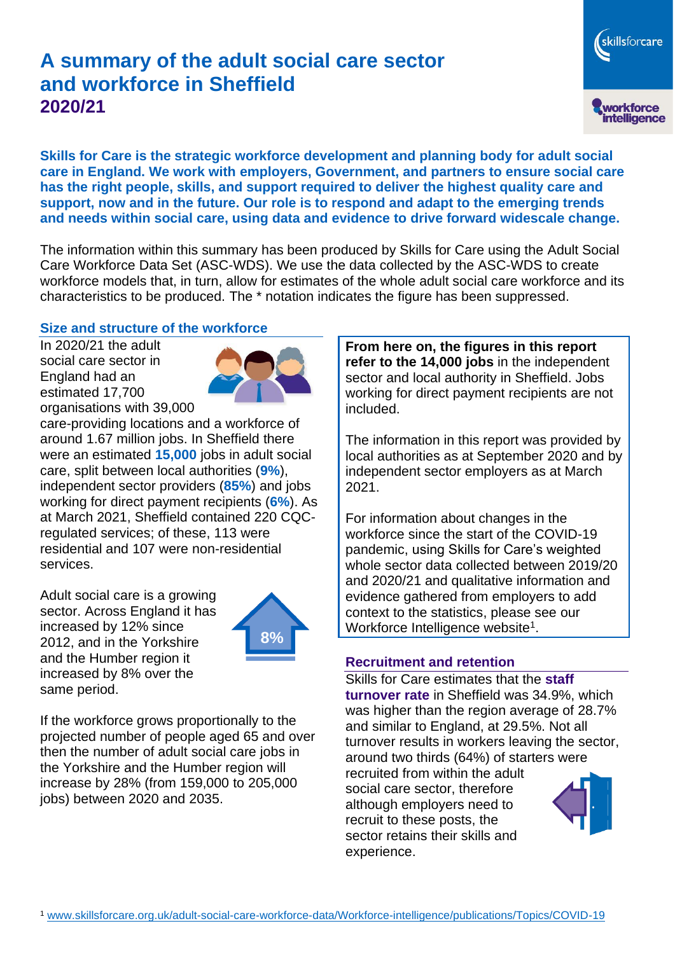# **A summary of the adult social care sector and workforce in Sheffield 2020/21**

**Skills for Care is the strategic workforce development and planning body for adult social care in England. We work with employers, Government, and partners to ensure social care has the right people, skills, and support required to deliver the highest quality care and support, now and in the future. Our role is to respond and adapt to the emerging trends and needs within social care, using data and evidence to drive forward widescale change.**

The information within this summary has been produced by Skills for Care using the Adult Social Care Workforce Data Set (ASC-WDS). We use the data collected by the ASC-WDS to create workforce models that, in turn, allow for estimates of the whole adult social care workforce and its characteristics to be produced. The \* notation indicates the figure has been suppressed.

#### **Size and structure of the workforce**

In 2020/21 the adult social care sector in England had an estimated 17,700 organisations with 39,000



care-providing locations and a workforce of around 1.67 million jobs. In Sheffield there were an estimated **15,000** jobs in adult social care, split between local authorities (**9%**), independent sector providers (**85%**) and jobs working for direct payment recipients (**6%**). As at March 2021, Sheffield contained 220 CQCregulated services; of these, 113 were residential and 107 were non-residential services.

Adult social care is a growing sector. Across England it has increased by 12% since 2012, and in the Yorkshire and the Humber region it increased by 8% over the same period.



If the workforce grows proportionally to the projected number of people aged 65 and over then the number of adult social care jobs in the Yorkshire and the Humber region will increase by 28% (from 159,000 to 205,000 jobs) between 2020 and 2035.

**From here on, the figures in this report refer to the 14,000 jobs** in the independent sector and local authority in Sheffield. Jobs working for direct payment recipients are not included.

skillsforcare

workforce<br>intelligence

The information in this report was provided by local authorities as at September 2020 and by independent sector employers as at March 2021.

For information about changes in the workforce since the start of the COVID-19 pandemic, using Skills for Care's weighted whole sector data collected between 2019/20 and 2020/21 and qualitative information and evidence gathered from employers to add context to the statistics, please see our Workforce Intelligence website<sup>1</sup>.

#### **Recruitment and retention**

Skills for Care estimates that the **staff turnover rate** in Sheffield was 34.9%, which was higher than the region average of 28.7% and similar to England, at 29.5%. Not all turnover results in workers leaving the sector, around two thirds (64%) of starters were recruited from within the adult social care sector, therefore although employers need to recruit to these posts, the sector retains their skills and experience.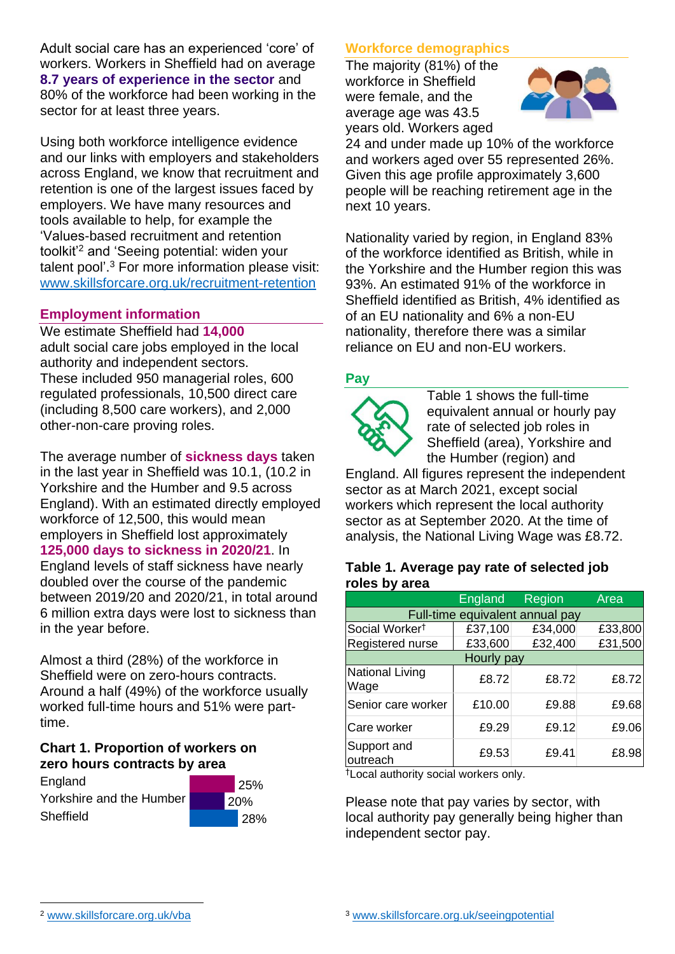Adult social care has an experienced 'core' of workers. Workers in Sheffield had on average **8.7 years of experience in the sector** and 80% of the workforce had been working in the sector for at least three years.

Using both workforce intelligence evidence and our links with employers and stakeholders across England, we know that recruitment and retention is one of the largest issues faced by employers. We have many resources and tools available to help, for example the 'Values-based recruitment and retention toolkit'<sup>2</sup> and 'Seeing potential: widen your talent pool'. <sup>3</sup> For more information please visit: [www.skillsforcare.org.uk/recruitment-retention](http://www.skillsforcare.org.uk/recruitment-retention)

#### **Employment information**

We estimate Sheffield had **14,000** adult social care jobs employed in the local authority and independent sectors. These included 950 managerial roles, 600 regulated professionals, 10,500 direct care (including 8,500 care workers), and 2,000 other-non-care proving roles.

The average number of **sickness days** taken in the last year in Sheffield was 10.1, (10.2 in Yorkshire and the Humber and 9.5 across England). With an estimated directly employed workforce of 12,500, this would mean employers in Sheffield lost approximately **125,000 days to sickness in 2020/21**. In England levels of staff sickness have nearly doubled over the course of the pandemic between 2019/20 and 2020/21, in total around 6 million extra days were lost to sickness than in the year before.

Almost a third (28%) of the workforce in Sheffield were on zero-hours contracts. Around a half (49%) of the workforce usually worked full-time hours and 51% were parttime.

#### **Chart 1. Proportion of workers on zero hours contracts by area**

| England                  |  |
|--------------------------|--|
| Yorkshire and the Humber |  |
| Sheffield                |  |



# **Workforce demographics**

The majority (81%) of the workforce in Sheffield were female, and the average age was 43.5 years old. Workers aged



24 and under made up 10% of the workforce and workers aged over 55 represented 26%. Given this age profile approximately 3,600 people will be reaching retirement age in the next 10 years.

Nationality varied by region, in England 83% of the workforce identified as British, while in the Yorkshire and the Humber region this was 93%. An estimated 91% of the workforce in Sheffield identified as British, 4% identified as of an EU nationality and 6% a non-EU nationality, therefore there was a similar reliance on EU and non-EU workers.

# **Pay**



Table 1 shows the full-time equivalent annual or hourly pay rate of selected job roles in Sheffield (area), Yorkshire and the Humber (region) and

England. All figures represent the independent sector as at March 2021, except social workers which represent the local authority sector as at September 2020. At the time of analysis, the National Living Wage was £8.72.

#### **Table 1. Average pay rate of selected job roles by area**

|                                 | <b>England</b> | Region  | Area    |  |
|---------------------------------|----------------|---------|---------|--|
| Full-time equivalent annual pay |                |         |         |  |
| Social Worker <sup>t</sup>      | £37,100        | £34,000 | £33,800 |  |
| Registered nurse                | £33,600        | £32,400 | £31,500 |  |
| Hourly pay                      |                |         |         |  |
| National Living<br>Wage         | £8.72          | £8.72   | £8.72   |  |
| Senior care worker              | £10.00         | £9.88   | £9.68   |  |
| Care worker                     | £9.29          | £9.12   | £9.06   |  |
| Support and<br>outreach         | £9.53          | £9.41   | £8.98   |  |

†Local authority social workers only.

Please note that pay varies by sector, with local authority pay generally being higher than independent sector pay.

[www.skillsforcare.org.uk/vba](http://www.skillsforcare.org.uk/vba)